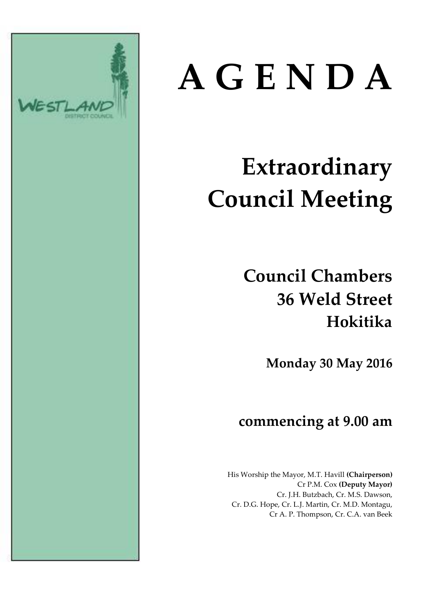

# **A G E N D A**

# **Extraordinary Council Meeting**

# **Council Chambers 36 Weld Street Hokitika**

**Monday 30 May 2016**

### **commencing at 9.00 am**

His Worship the Mayor, M.T. Havill **(Chairperson)** Cr P.M. Cox **(Deputy Mayor)** Cr. J.H. Butzbach, Cr. M.S. Dawson, Cr. D.G. Hope, Cr. L.J. Martin, Cr. M.D. Montagu, Cr A. P. Thompson, Cr. C.A. van Beek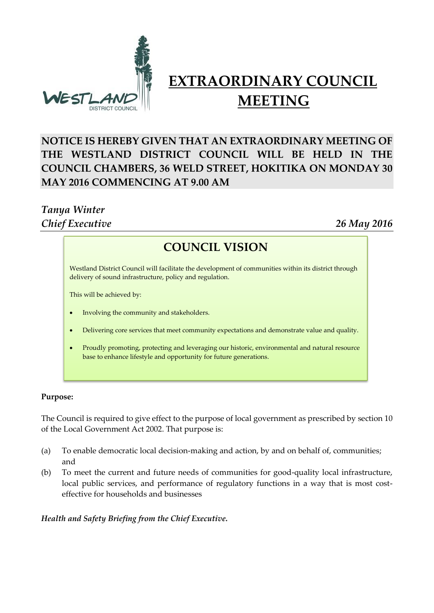

## **EXTRAORDINARY COUNCIL MEETING**

#### **NOTICE IS HEREBY GIVEN THAT AN EXTRAORDINARY MEETING OF THE WESTLAND DISTRICT COUNCIL WILL BE HELD IN THE COUNCIL CHAMBERS, 36 WELD STREET, HOKITIKA ON MONDAY 30 MAY 2016 COMMENCING AT 9.00 AM**

#### *Tanya Winter Chief Executive 26 May 2016*

#### **COUNCIL VISION**

**COUNCIL VISION** delivery of sound infrastructure, policy and regulation. Westland District Council will facilitate the development of communities within its district through

This will be achieved by:

- Involving the community and stakeholders.
- Delivering core services that meet community expectations and demonstrate value and quality.
- Proudly promoting, protecting and leveraging our historic, environmental and natural resource base to enhance lifestyle and opportunity for future generations.

#### **Purpose:**

The Council is required to give effect to the purpose of local government as prescribed by section 10 of the Local Government Act 2002. That purpose is:

- (a) To enable democratic local decision-making and action, by and on behalf of, communities; and
- (b) To meet the current and future needs of communities for good-quality local infrastructure, local public services, and performance of regulatory functions in a way that is most costeffective for households and businesses

*Health and Safety Briefing from the Chief Executive.*